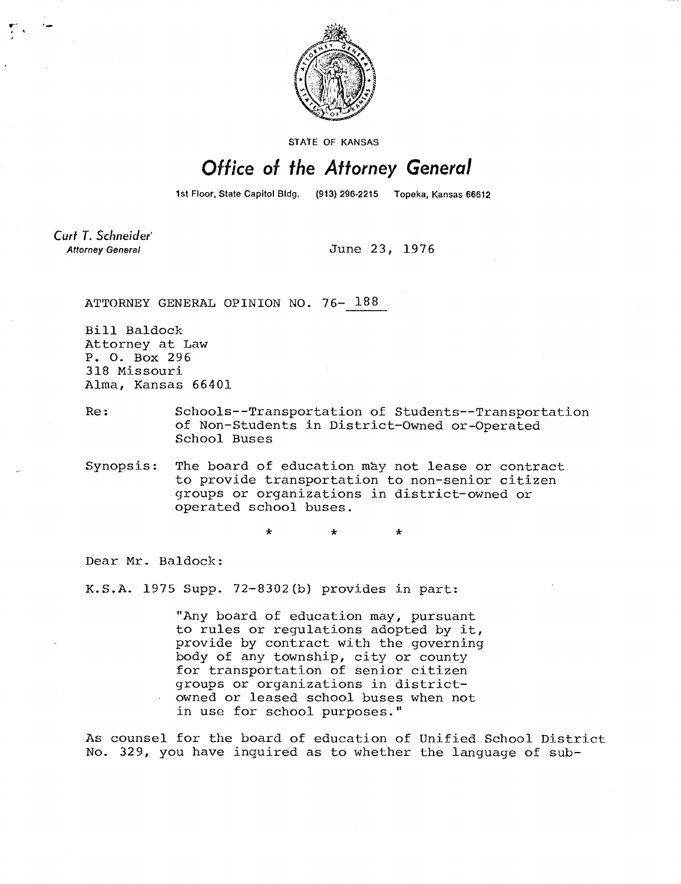

STATE OF KANSAS

## Office of the Attorney General

1st Floor, State Capitol Bldg. (913) 296-2215 Topeka, Kansas 66612

Curt T. Schneider **Attorney General** 

June 23, 1976

ATTORNEY GENERAL OPINION NO. 76- 188

Bill Baldock Attorney at Law P. 0. Box 296 318 Missouri Alma, Kansas 66401

Re: Schools--Transportation of Students--Transportation of Non-Students in District-Owned or-Operated School Buses

Synopsis: The board of education may not lease or contract to provide transportation to non-senior citizen groups or organizations in district-owned or operated school buses.

Dear Mr. Baldock:

K.S.A. 1975 Supp. 72-8302(b) provides in part:

"Any board of education may, pursuant to rules or regulations adopted by it, provide by contract with the governing body of any township, city or county for transportation of senior citizen groups or organizations in districtowned or leased school buses when not in use for school purposes."

As counsel for the board of education of Unified School District No. 329, you have inquired as to whether the language of sub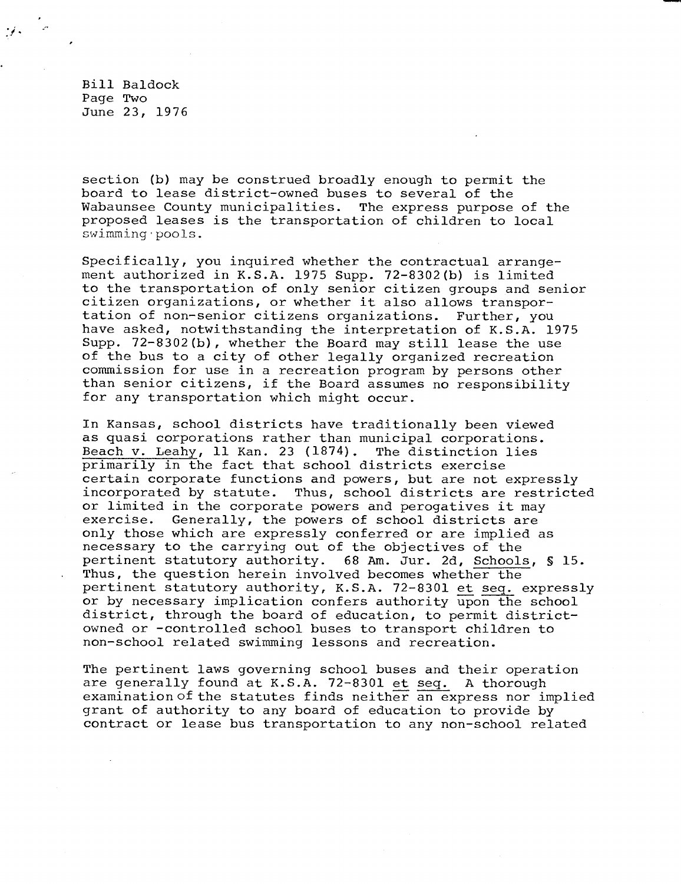Bill Baldock Page Two June 23, 1976

section (b) may be construed broadly enough to permit the board to lease district-owned buses to several of the Wabaunsee County municipalities. The express purpose of the proposed leases is the transportation of children to local swimming pools.

Specifically, you inquired whether the contractual arrangement authorized in K.S.A. 1975 Supp. 72-8302(b) is limited to the transportation of only senior citizen groups and senior citizen organizations, or whether it also allows transportation of non-senior citizens organizations. Further, you have asked, notwithstanding the interpretation of K.S.A. 1975 Supp. 72-8302(b), whether the Board may still lease the use of the bus to a city of other legally organized recreation commission for use in a recreation program by persons other than senior citizens, if the Board assumes no responsibility for any transportation which might occur.

In Kansas, school districts have traditionally been viewed as quasi corporations rather than municipal corporations. Beach v. Leahy, 11 Kan. 23 (1874). The distinction lies primarily in the fact that school districts exercise certain corporate functions and powers, but are not expressly incorporated by statute. Thus, school districts are restricted or limited in the corporate powers and perogatives it may exercise. Generally, the powers of school districts are only those which are expressly conferred or are implied as necessary to the carrying out of the objectives of the pertinent statutory authority. 68 Am. Jur. 2d, Schools, § 15. Thus, the question herein involved becomes whether the pertinent statutory authority, K.S.A. 72-8301 et seq. expressly or by necessary implication confers authority upon the school district, through the board of education, to permit districtowned or -controlled school buses to transport children to non-school related swimming lessons and recreation.

The pertinent laws governing school buses and their operation are generally found at K.S.A. 72-8301 et seq. A thorough examination of the statutes finds neither an express nor implied grant of authority to any board of education to provide by contract or lease bus transportation to any non-school related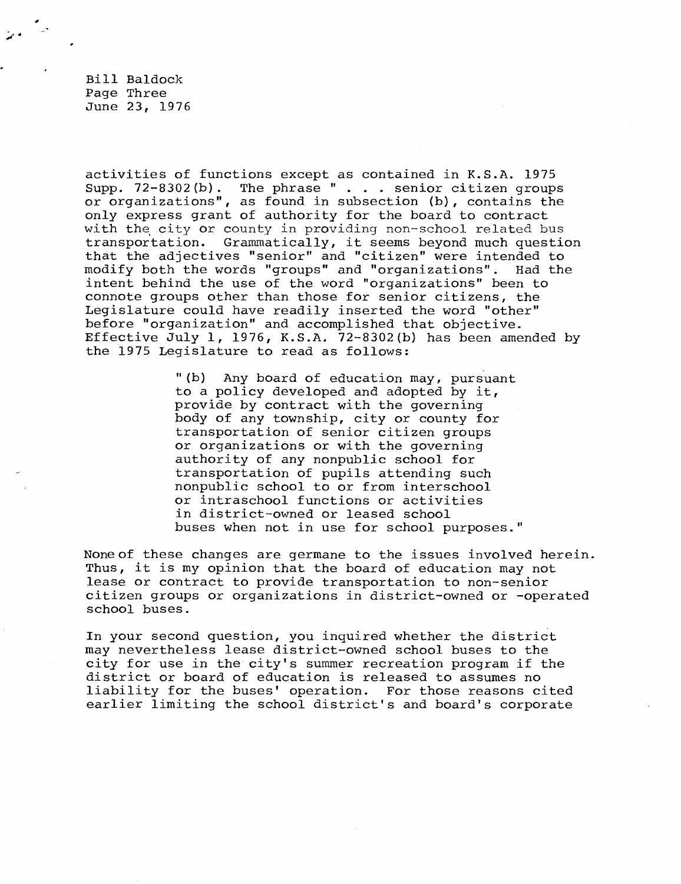Bill Baldock Page Three June 23, 1976

activities of functions except as contained in K.S.A. 1975 Supp. 72-8302(b). The phrase " . . . senior citizen groups or organizations", as found in subsection (b), contains the only express grant of authority for the board to contract with the city or county in providing non-school related bus transportation. Grammatically, it seems beyond much question that the adjectives "senior" and "citizen" were intended to modify both the words "groups" and "organizations". Had the intent behind the use of the word "organizations" been to connote groups other than those for senior citizens, the Legislature could have readily inserted the word "other" before "organization" and accomplished that objective. Effective July 1, 1976, K.S.A. 72-8302(b) has been amended by the 1975 Legislature to read as follows:

> "(b) Any board of education may, pursuant to a policy developed and adopted by it, provide by contract with the governing body of any township, city or county for transportation of senior citizen groups or organizations or with the governing authority of any nonpublic school for transportation of pupils attending such nonpublic school to or from interschool or intraschool functions or activities in district-owned or leased school buses when not in use for school purposes."

None of these changes are germane to the issues involved herein. Thus, it is my opinion that the board of education may not lease or contract to provide transportation to non-senior citizen groups or organizations in district-owned or -operated school buses.

In your second question, you inquired whether the district may nevertheless lease district-owned school buses to the city for use in the city's summer recreation program if the district or board of education is released to assumes no liability for the buses' operation. For those reasons cited earlier limiting the school district's and board's corporate